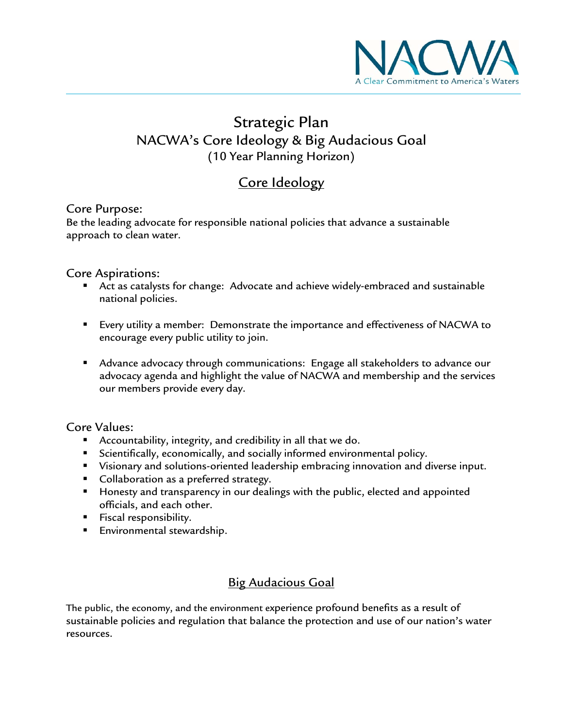

# Strategic Plan NACWA's Core Ideology & Big Audacious Goal (10 Year Planning Horizon)

## Core Ideology

### Core Purpose:

Be the leading advocate for responsible national policies that advance a sustainable approach to clean water.

- Core Aspirations:<br>**Act as catalysts for change:** Advocate and achieve widely-embraced and sustainable national policies.
	- Every utility a member: Demonstrate the importance and effectiveness of NACWA to encourage every public utility to join.
	- Advance advocacy through communications: Engage all stakeholders to advance our advocacy agenda and highlight the value of NACWA and membership and the services our members provide every day.

### Core Values:

- Accountability, integrity, and credibility in all that we do.
- **Scientifically, economically, and socially informed environmental policy.**
- Visionary and solutions-oriented leadership embracing innovation and diverse input.
- **Collaboration as a preferred strategy.**
- **Honesty and transparency in our dealings with the public, elected and appointed** officials, and each other.
- **Fiscal responsibility.**
- **Environmental stewardship.**

## Big Audacious Goal

The public, the economy, and the environment experience profound benefits as a result of sustainable policies and regulation that balance the protection and use of our nation's water resources.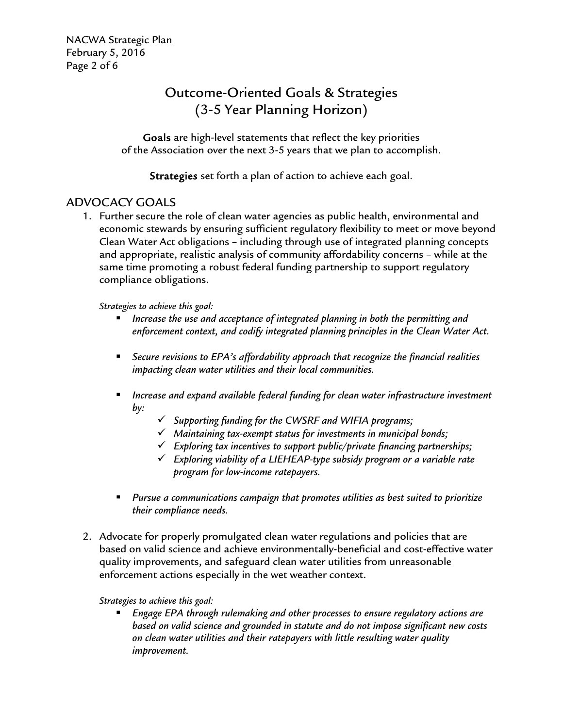NACWA Strategic Plan February 5, 2016 Page 2 of 6

## Outcome-Oriented Goals & Strategies (3-5 Year Planning Horizon)

Goals are high-level statements that reflect the key priorities of the Association over the next 3-5 years that we plan to accomplish.

Strategies set forth a plan of action to achieve each goal.

## ADVOCACY GOALS

1. Further secure the role of clean water agencies as public health, environmental and economic stewards by ensuring sufficient regulatory flexibility to meet or move beyond Clean Water Act obligations – including through use of integrated planning concepts and appropriate, realistic analysis of community affordability concerns – while at the same time promoting a robust federal funding partnership to support regulatory compliance obligations.

*Strategies to achieve this goal:* 

- *Increase the use and acceptance of integrated planning in both the permitting and enforcement context, and codify integrated planning principles in the Clean Water Act.*
- *Secure revisions to EPA's affordability approach that recognize the financial realities impacting clean water utilities and their local communities.*
- *Increase and expand available federal funding for clean water infrastructure investment by:* 
	- *Supporting funding for the CWSRF and WIFIA programs;*
	- *Maintaining tax-exempt status for investments in municipal bonds;*
	- *Exploring tax incentives to support public/private financing partnerships;*
	- *Exploring viability of a LIEHEAP-type subsidy program or a variable rate program for low-income ratepayers.*
- *Pursue a communications campaign that promotes utilities as best suited to prioritize their compliance needs.*
- 2. Advocate for properly promulgated clean water regulations and policies that are based on valid science and achieve environmentally-beneficial and cost-effective water quality improvements, and safeguard clean water utilities from unreasonable enforcement actions especially in the wet weather context.

*Strategies to achieve this goal:* 

 *Engage EPA through rulemaking and other processes to ensure regulatory actions are based on valid science and grounded in statute and do not impose significant new costs on clean water utilities and their ratepayers with little resulting water quality improvement.*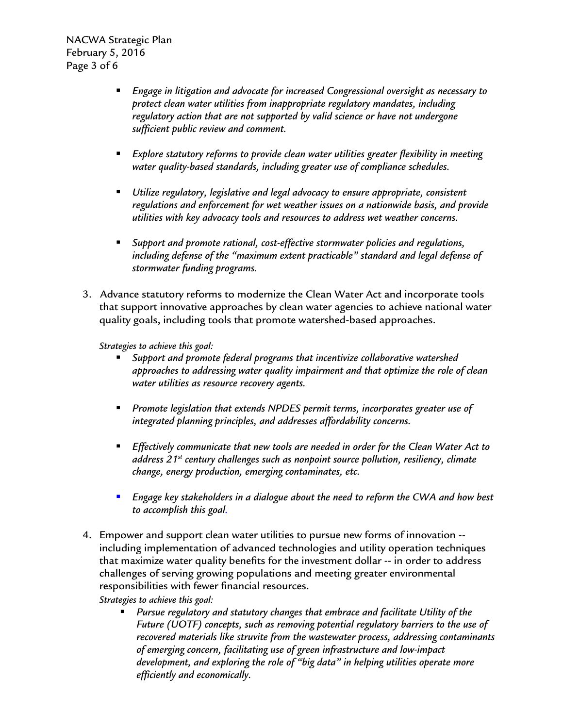NACWA Strategic Plan February 5, 2016 Page 3 of 6

- *Engage in litigation and advocate for increased Congressional oversight as necessary to protect clean water utilities from inappropriate regulatory mandates, including regulatory action that are not supported by valid science or have not undergone sufficient public review and comment.*
- *Explore statutory reforms to provide clean water utilities greater flexibility in meeting water quality-based standards, including greater use of compliance schedules.*
- *Utilize regulatory, legislative and legal advocacy to ensure appropriate, consistent regulations and enforcement for wet weather issues on a nationwide basis, and provide utilities with key advocacy tools and resources to address wet weather concerns.*
- *Support and promote rational, cost-effective stormwater policies and regulations, including defense of the "maximum extent practicable" standard and legal defense of stormwater funding programs.*
- 3. Advance statutory reforms to modernize the Clean Water Act and incorporate tools that support innovative approaches by clean water agencies to achieve national water quality goals, including tools that promote watershed-based approaches.

*Strategies to achieve this goal:* 

- *Support and promote federal programs that incentivize collaborative watershed approaches to addressing water quality impairment and that optimize the role of clean water utilities as resource recovery agents.*
- *Promote legislation that extends NPDES permit terms, incorporates greater use of integrated planning principles, and addresses affordability concerns.*
- *Effectively communicate that new tools are needed in order for the Clean Water Act to address 21st century challenges such as nonpoint source pollution, resiliency, climate change, energy production, emerging contaminates, etc.*
- *Engage key stakeholders in a dialogue about the need to reform the CWA and how best to accomplish this goal.*
- 4. Empower and support clean water utilities to pursue new forms of innovation including implementation of advanced technologies and utility operation techniques that maximize water quality benefits for the investment dollar -- in order to address challenges of serving growing populations and meeting greater environmental responsibilities with fewer financial resources.

*Strategies to achieve this goal:* 

 *Pursue regulatory and statutory changes that embrace and facilitate Utility of the Future (UOTF) concepts, such as removing potential regulatory barriers to the use of recovered materials like struvite from the wastewater process, addressing contaminants of emerging concern, facilitating use of green infrastructure and low-impact development, and exploring the role of "big data" in helping utilities operate more efficiently and economically.*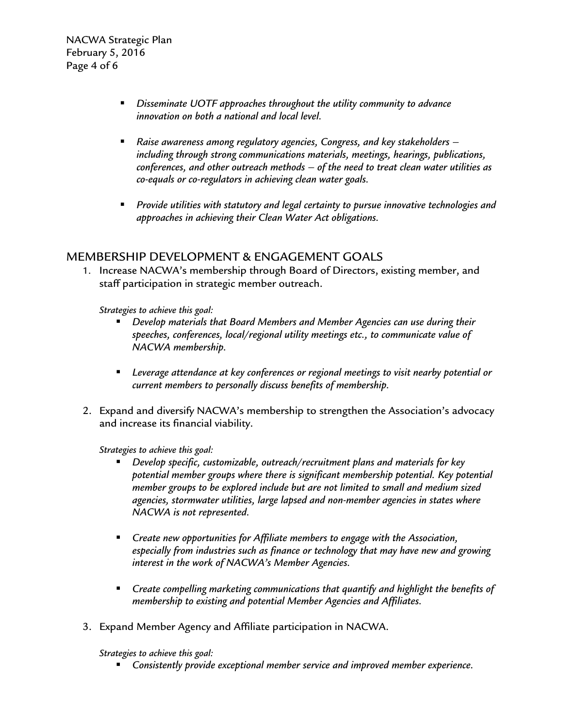NACWA Strategic Plan February 5, 2016 Page 4 of 6

- *Disseminate UOTF approaches throughout the utility community to advance innovation on both a national and local level.*
- *Raise awareness among regulatory agencies, Congress, and key stakeholders including through strong communications materials, meetings, hearings, publications, conferences, and other outreach methods – of the need to treat clean water utilities as co-equals or co-regulators in achieving clean water goals.*
- *Provide utilities with statutory and legal certainty to pursue innovative technologies and approaches in achieving their Clean Water Act obligations.*

## MEMBERSHIP DEVELOPMENT & ENGAGEMENT GOALS

1. Increase NACWA's membership through Board of Directors, existing member, and staff participation in strategic member outreach.

*Strategies to achieve this goal:* 

- *Develop materials that Board Members and Member Agencies can use during their speeches, conferences, local/regional utility meetings etc., to communicate value of NACWA membership.*
- *Leverage attendance at key conferences or regional meetings to visit nearby potential or current members to personally discuss benefits of membership.*
- 2. Expand and diversify NACWA's membership to strengthen the Association's advocacy and increase its financial viability.

*Strategies to achieve this goal:* 

- *Develop specific, customizable, outreach/recruitment plans and materials for key potential member groups where there is significant membership potential. Key potential member groups to be explored include but are not limited to small and medium sized agencies, stormwater utilities, large lapsed and non-member agencies in states where NACWA is not represented.*
- *Create new opportunities for Affiliate members to engage with the Association, especially from industries such as finance or technology that may have new and growing interest in the work of NACWA's Member Agencies.*
- *Create compelling marketing communications that quantify and highlight the benefits of membership to existing and potential Member Agencies and Affiliates.*
- 3. Expand Member Agency and Affiliate participation in NACWA.

*Strategies to achieve this goal:* 

*Consistently provide exceptional member service and improved member experience.*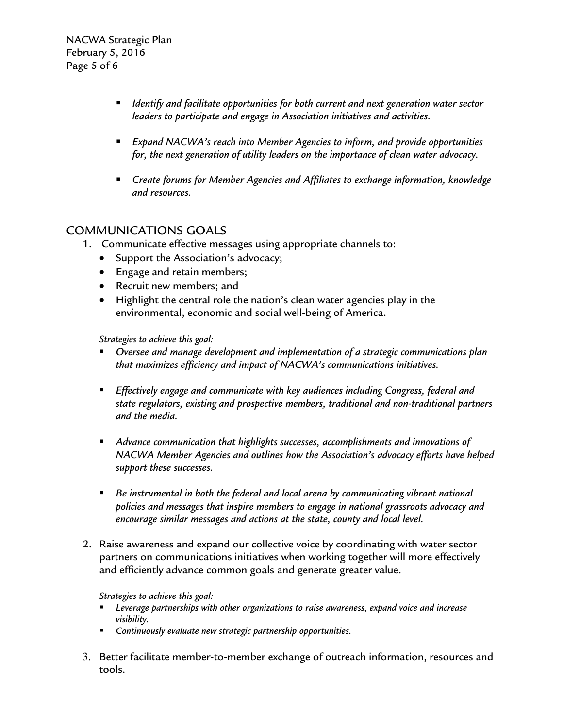NACWA Strategic Plan February 5, 2016 Page 5 of 6

- *Identify and facilitate opportunities for both current and next generation water sector leaders to participate and engage in Association initiatives and activities.*
- *Expand NACWA's reach into Member Agencies to inform, and provide opportunities for, the next generation of utility leaders on the importance of clean water advocacy.*
- *Create forums for Member Agencies and Affiliates to exchange information, knowledge and resources.*

## COMMUNICATIONS GOALS

- 1. Communicate effective messages using appropriate channels to:
	- Support the Association's advocacy;
	- Engage and retain members;
	- Recruit new members; and
	- Highlight the central role the nation's clean water agencies play in the environmental, economic and social well-being of America.

*Strategies to achieve this goal:* 

- *Oversee and manage development and implementation of a strategic communications plan that maximizes efficiency and impact of NACWA's communications initiatives.*
- *Effectively engage and communicate with key audiences including Congress, federal and state regulators, existing and prospective members, traditional and non-traditional partners and the media.*
- *Advance communication that highlights successes, accomplishments and innovations of NACWA Member Agencies and outlines how the Association's advocacy efforts have helped support these successes.*
- **Be instrumental in both the federal and local arena by communicating vibrant national** *policies and messages that inspire members to engage in national grassroots advocacy and encourage similar messages and actions at the state, county and local level.*
- 2. Raise awareness and expand our collective voice by coordinating with water sector partners on communications initiatives when working together will more effectively and efficiently advance common goals and generate greater value.

#### *Strategies to achieve this goal:*

- *Leverage partnerships with other organizations to raise awareness, expand voice and increase visibility.*
- *Continuously evaluate new strategic partnership opportunities.*
- 3. Better facilitate member-to-member exchange of outreach information, resources and tools.